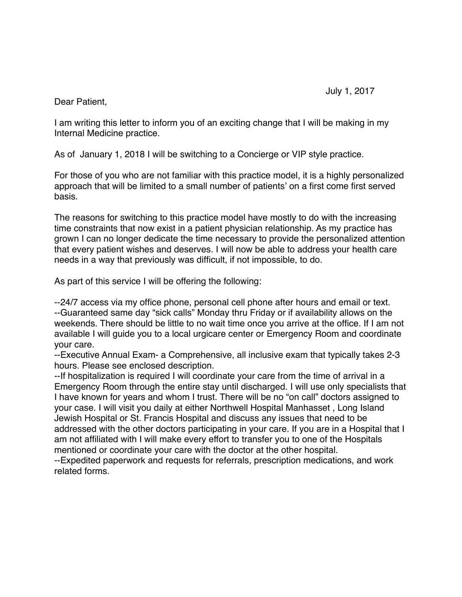Dear Patient,

I am writing this letter to inform you of an exciting change that I will be making in my Internal Medicine practice.

As of January 1, 2018 I will be switching to a Concierge or VIP style practice.

For those of you who are not familiar with this practice model, it is a highly personalized approach that will be limited to a small number of patients' on a first come first served basis.

The reasons for switching to this practice model have mostly to do with the increasing time constraints that now exist in a patient physician relationship. As my practice has grown I can no longer dedicate the time necessary to provide the personalized attention that every patient wishes and deserves. I will now be able to address your health care needs in a way that previously was difficult, if not impossible, to do.

As part of this service I will be offering the following:

--24/7 access via my office phone, personal cell phone after hours and email or text. --Guaranteed same day "sick calls" Monday thru Friday or if availability allows on the weekends. There should be little to no wait time once you arrive at the office. If I am not available I will guide you to a local urgicare center or Emergency Room and coordinate your care.

--Executive Annual Exam- a Comprehensive, all inclusive exam that typically takes 2-3 hours. Please see enclosed description.

--If hospitalization is required I will coordinate your care from the time of arrival in a Emergency Room through the entire stay until discharged. I will use only specialists that I have known for years and whom I trust. There will be no "on call" doctors assigned to your case. I will visit you daily at either Northwell Hospital Manhasset , Long Island Jewish Hospital or St. Francis Hospital and discuss any issues that need to be addressed with the other doctors participating in your care. If you are in a Hospital that I am not affiliated with I will make every effort to transfer you to one of the Hospitals mentioned or coordinate your care with the doctor at the other hospital.

--Expedited paperwork and requests for referrals, prescription medications, and work related forms.